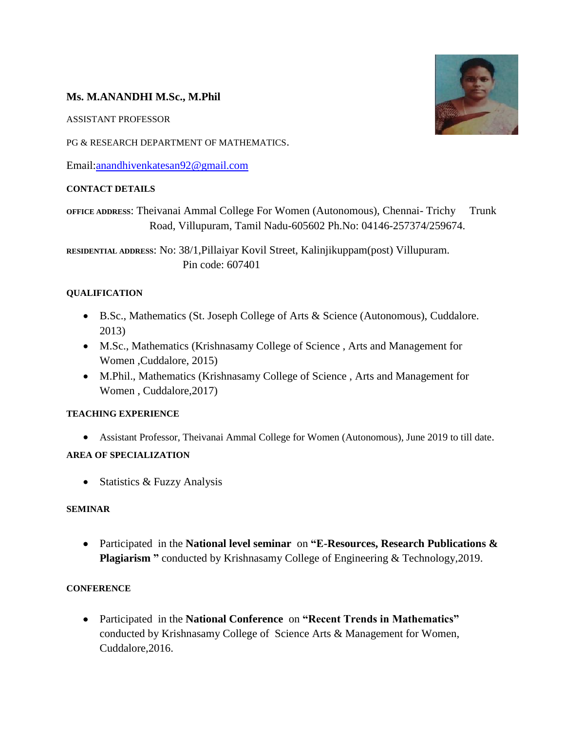## **Ms. M.ANANDHI M.Sc., M.Phil**

ASSISTANT PROFESSOR

PG & RESEARCH DEPARTMENT OF MATHEMATICS.

Email[:anandhivenkatesan92@gmail.com](mailto:anandhivenkatesan92@gmail.com)

### **CONTACT DETAILS**

**OFFICE ADDRESS**: Theivanai Ammal College For Women (Autonomous), Chennai- Trichy Trunk Road, Villupuram, Tamil Nadu-605602 Ph.No: 04146-257374/259674.

**RESIDENTIAL ADDRESS**: No: 38/1,Pillaiyar Kovil Street, Kalinjikuppam(post) Villupuram. Pin code: 607401

### **QUALIFICATION**

- B.Sc., Mathematics (St. Joseph College of Arts & Science (Autonomous), Cuddalore. 2013)
- M.Sc., Mathematics (Krishnasamy College of Science , Arts and Management for Women ,Cuddalore, 2015)
- M.Phil., Mathematics (Krishnasamy College of Science , Arts and Management for Women , Cuddalore,2017)

### **TEACHING EXPERIENCE**

Assistant Professor, Theivanai Ammal College for Women (Autonomous), June 2019 to till date.

### **AREA OF SPECIALIZATION**

• Statistics & Fuzzy Analysis

### **SEMINAR**

 Participatedin the **National level seminar** on **"E-Resources, Research Publications & Plagiarism "** conducted by Krishnasamy College of Engineering & Technology,2019.

### **CONFERENCE**

 Participatedin the **National Conference** on **"Recent Trends in Mathematics"**  conducted by Krishnasamy College of Science Arts & Management for Women, Cuddalore,2016.

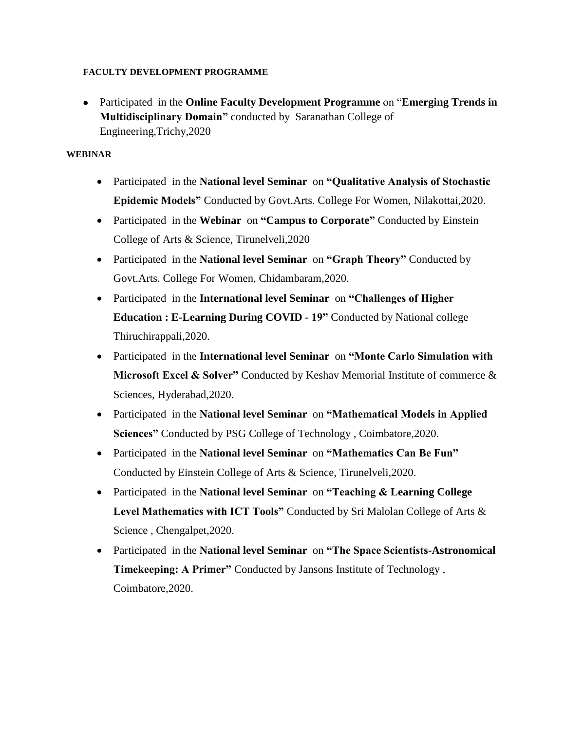#### **FACULTY DEVELOPMENT PROGRAMME**

 Participatedin the **Online Faculty Development Programme** on "**Emerging Trends in Multidisciplinary Domain"** conducted by Saranathan College of Engineering,Trichy,2020

### **WEBINAR**

- Participatedin the **National level Seminar** on **"Qualitative Analysis of Stochastic Epidemic Models"** Conducted by Govt.Arts. College For Women, Nilakottai,2020.
- Participated in the **Webinar** on "Campus to Corporate" Conducted by Einstein College of Arts & Science, Tirunelveli,2020
- Participated in the **National level Seminar** on "Graph Theory" Conducted by Govt.Arts. College For Women, Chidambaram,2020.
- Participated in the **International level Seminar** on "Challenges of Higher **Education : E-Learning During COVID - 19" Conducted by National college** Thiruchirappali,2020.
- Participatedin the **International level Seminar** on **"Monte Carlo Simulation with Microsoft Excel & Solver"** Conducted by Keshav Memorial Institute of commerce & Sciences, Hyderabad,2020.
- Participated in the **National level Seminar** on "Mathematical Models in Applied **Sciences"** Conducted by PSG College of Technology , Coimbatore,2020.
- Participatedin the **National level Seminar** on **"Mathematics Can Be Fun"** Conducted by Einstein College of Arts & Science, Tirunelveli,2020.
- Participatedin the **National level Seminar** on **"Teaching & Learning College Level Mathematics with ICT Tools"** Conducted by Sri Malolan College of Arts & Science , Chengalpet,2020.
- Participatedin the **National level Seminar** on **"The Space Scientists-Astronomical Timekeeping: A Primer"** Conducted by Jansons Institute of Technology , Coimbatore,2020.